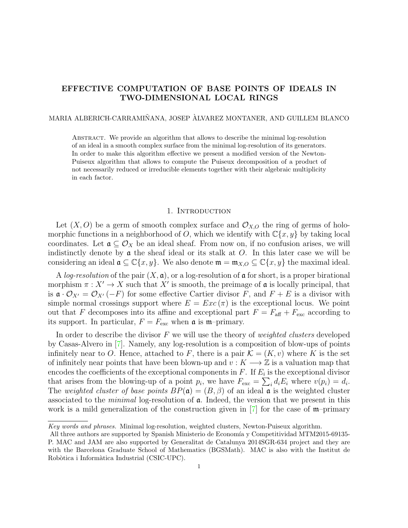# <span id="page-0-0"></span>EFFECTIVE COMPUTATION OF BASE POINTS OF IDEALS IN TWO-DIMENSIONAL LOCAL RINGS

### MARIA ALBERICH-CARRAMIÑANA, JOSEP ÀLVAREZ MONTANER, AND GUILLEM BLANCO

Abstract. We provide an algorithm that allows to describe the minimal log-resolution of an ideal in a smooth complex surface from the minimal log-resolution of its generators. In order to make this algorithm effective we present a modified version of the Newton-Puiseux algorithm that allows to compute the Puiseux decomposition of a product of not necessarily reduced or irreducible elements together with their algebraic multiplicity in each factor.

#### 1. INTRODUCTION

Let  $(X, O)$  be a germ of smooth complex surface and  $\mathcal{O}_{X,O}$  the ring of germs of holomorphic functions in a neighborhood of O, which we identify with  $\mathbb{C}\{x, y\}$  by taking local coordinates. Let  $\mathfrak{a} \subseteq \mathcal{O}_X$  be an ideal sheaf. From now on, if no confusion arises, we will indistinctly denote by  $\alpha$  the sheaf ideal or its stalk at  $O$ . In this later case we will be considering an ideal  $\mathfrak{a} \subseteq \mathbb{C}\{x,y\}$ . We also denote  $\mathfrak{m} = \mathfrak{m}_{X,O} \subseteq \mathbb{C}\{x,y\}$  the maximal ideal.

A log-resolution of the pair  $(X, \mathfrak{a})$ , or a log-resolution of  $\mathfrak{a}$  for short, is a proper birational morphism  $\pi: X' \to X$  such that X' is smooth, the preimage of **a** is locally principal, that is  $\mathfrak{a} \cdot \mathcal{O}_{X'} = \mathcal{O}_{X'}(-F)$  for some effective Cartier divisor F, and  $F + E$  is a divisor with simple normal crossings support where  $E = Exc(\pi)$  is the exceptional locus. We point out that F decomposes into its affine and exceptional part  $F = F_{\text{aff}} + F_{\text{exc}}$  according to its support. In particular,  $F = F_{\text{exc}}$  when  $\mathfrak{a}$  is m-primary.

In order to describe the divisor  $F$  we will use the theory of *weighted clusters* developed by Casas-Alvero in [\[7\]](#page-20-0). Namely, any log-resolution is a composition of blow-ups of points infinitely near to O. Hence, attached to F, there is a pair  $\mathcal{K} = (K, v)$  where K is the set of infinitely near points that have been blown-up and  $v : K \longrightarrow \mathbb{Z}$  is a valuation map that encodes the coefficients of the exceptional components in  $F$ . If  $E_i$  is the exceptional divisor that arises from the blowing-up of a point  $p_i$ , we have  $F_{\text{exc}} = \sum_i d_i E_i$  where  $v(p_i) = d_i$ . The weighted cluster of base points  $BP(\mathfrak{a}) = (B, \beta)$  of an ideal  $\mathfrak{a}$  is the weighted cluster associated to the *minimal* log-resolution of  $\alpha$ . Indeed, the version that we present in this work is a mild generalization of the construction given in  $|7|$  for the case of m–primary

Key words and phrases. Minimal log-resolution, weighted clusters, Newton-Puiseux algorithm.

All three authors are supported by Spanish Ministerio de Economía y Competitividad MTM2015-69135-P. MAC and JAM are also supported by Generalitat de Catalunya 2014SGR-634 project and they are with the Barcelona Graduate School of Mathematics (BGSMath). MAC is also with the Institut de Robòtica i Informàtica Industrial (CSIC-UPC).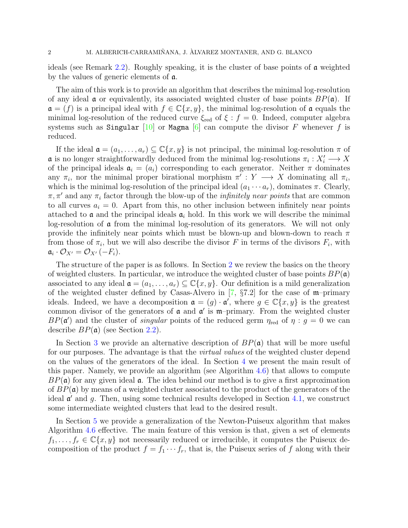<span id="page-1-0"></span>ideals (see Remark [2.2\)](#page-6-0). Roughly speaking, it is the cluster of base points of a weighted by the values of generic elements of a.

The aim of this work is to provide an algorithm that describes the minimal log-resolution of any ideal  $\alpha$  or equivalently, its associated weighted cluster of base points  $BP(\alpha)$ . If  $\mathfrak{a} = (f)$  is a principal ideal with  $f \in \mathbb{C}\{x, y\}$ , the minimal log-resolution of  $\mathfrak{a}$  equals the minimal log-resolution of the reduced curve  $\xi_{\text{red}}$  of  $\xi : f = 0$ . Indeed, computer algebra systems such as Singular  $[10]$  or Magma  $[6]$  can compute the divisor F whenever f is reduced.

If the ideal  $\mathfrak{a} = (a_1, \ldots, a_r) \subseteq \mathbb{C}\{x, y\}$  is not principal, the minimal log-resolution  $\pi$  of **a** is no longer straightforwardly deduced from the minimal log-resolutions  $\pi_i : X'_i \longrightarrow X$ of the principal ideals  $a_i = (a_i)$  corresponding to each generator. Neither  $\pi$  dominates any  $\pi_i$ , nor the minimal proper birational morphism  $\pi' : Y \longrightarrow X$  dominating all  $\pi_i$ , which is the minimal log-resolution of the principal ideal  $(a_1 \cdots a_r)$ , dominates  $\pi$ . Clearly,  $\pi, \pi'$  and any  $\pi_i$  factor through the blow-up of the *infinitely near points* that are common to all curves  $a_i = 0$ . Apart from this, no other inclusion between infinitely near points attached to  $\alpha$  and the principal ideals  $\alpha_i$  hold. In this work we will describe the minimal log-resolution of a from the minimal log-resolution of its generators. We will not only provide the infinitely near points which must be blown-up and blown-down to reach  $\pi$ from those of  $\pi_i$ , but we will also describe the divisor F in terms of the divisors  $F_i$ , with  $\mathfrak{a}_i \cdot \mathcal{O}_{X'} = \mathcal{O}_{X'}(-F_i).$ 

The structure of the paper is as follows. In Section [2](#page-2-0) we review the basics on the theory of weighted clusters. In particular, we introduce the weighted cluster of base points  $BP(\mathfrak{a})$ associated to any ideal  $\mathfrak{a} = (a_1, \ldots, a_r) \subseteq \mathbb{C}\{x, y\}$ . Our definition is a mild generalization of the weighted cluster defined by Casas-Alvero in  $[7, \S 7.2]$  $[7, \S 7.2]$  for the case of m–primary ideals. Indeed, we have a decomposition  $\mathfrak{a} = (g) \cdot \mathfrak{a}'$ , where  $g \in \mathbb{C}\{x, y\}$  is the greatest common divisor of the generators of  $a$  and  $a'$  is  $m$ -primary. From the weighted cluster  $BP(\mathfrak{a}')$  and the cluster of *singular* points of the reduced germ  $\eta_{\text{red}}$  of  $\eta : g = 0$  we can describe  $BP(\mathfrak{a})$  (see Section [2.2\)](#page-5-0).

In Section [3](#page-6-1) we provide an alternative description of  $BP(\mathfrak{a})$  that will be more useful for our purposes. The advantage is that the *virtual values* of the weighted cluster depend on the values of the generators of the ideal. In Section [4](#page-9-0) we present the main result of this paper. Namely, we provide an algorithm (see Algorithm [4.6\)](#page-11-0) that allows to compute  $BP(\mathfrak{a})$  for any given ideal  $\mathfrak{a}$ . The idea behind our method is to give a first approximation of  $BP(\mathfrak{a})$  by means of a weighted cluster associated to the product of the generators of the ideal  $\mathfrak{a}'$  and g. Then, using some technical results developed in Section [4.1,](#page-10-0) we construct some intermediate weighted clusters that lead to the desired result.

In Section [5](#page-16-0) we provide a generalization of the Newton-Puiseux algorithm that makes Algorithm [4.6](#page-11-0) effective. The main feature of this version is that, given a set of elements  $f_1, \ldots, f_r \in \mathbb{C}\{x, y\}$  not necessarily reduced or irreducible, it computes the Puiseux decomposition of the product  $f = f_1 \cdots f_r$ , that is, the Puiseux series of f along with their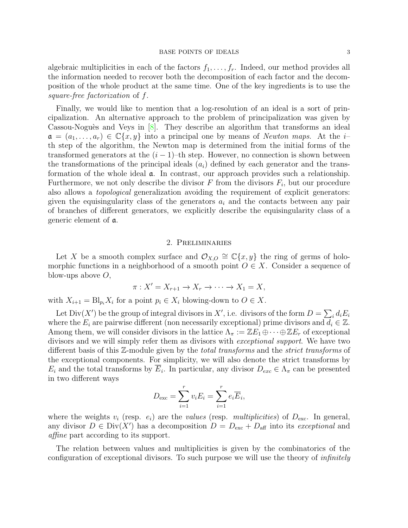<span id="page-2-1"></span>algebraic multiplicities in each of the factors  $f_1, \ldots, f_r$ . Indeed, our method provides all the information needed to recover both the decomposition of each factor and the decomposition of the whole product at the same time. One of the key ingredients is to use the square-free factorization of f.

Finally, we would like to mention that a log-resolution of an ideal is a sort of principalization. An alternative approach to the problem of principalization was given by Cassou-Noguès and Veys in  $[8]$ . They describe an algorithm that transforms an ideal  $a = (a_1, \ldots, a_r) \in \mathbb{C}\{x, y\}$  into a principal one by means of Newton maps. At the ith step of the algorithm, the Newton map is determined from the initial forms of the transformed generators at the  $(i - 1)$ –th step. However, no connection is shown between the transformations of the principal ideals  $(a_i)$  defined by each generator and the transformation of the whole ideal a. In contrast, our approach provides such a relationship. Furthermore, we not only describe the divisor  $F$  from the divisors  $F_i$ , but our procedure also allows a topological generalization avoiding the requirement of explicit generators: given the equisingularity class of the generators  $a_i$  and the contacts between any pair of branches of different generators, we explicitly describe the equisingularity class of a generic element of a.

### 2. Preliminaries

<span id="page-2-0"></span>Let X be a smooth complex surface and  $\mathcal{O}_{X,O} \cong \mathbb{C}\{x,y\}$  the ring of germs of holomorphic functions in a neighborhood of a smooth point  $O \in X$ . Consider a sequence of blow-ups above  $O$ ,

$$
\pi: X' = X_{r+1} \to X_r \to \cdots \to X_1 = X,
$$

with  $X_{i+1} = \text{Bl}_{p_i} X_i$  for a point  $p_i \in X_i$  blowing-down to  $O \in X$ .

Let  $Div(X')$  be the group of integral divisors in X', i.e. divisors of the form  $D = \sum_i d_i E_i$ where the  $E_i$  are pairwise different (non necessarily exceptional) prime divisors and  $d_i \in \mathbb{Z}$ . Among them, we will consider divisors in the lattice  $\Lambda_{\pi} := \mathbb{Z}E_1 \oplus \cdots \oplus \mathbb{Z}E_r$  of exceptional divisors and we will simply refer them as divisors with exceptional support. We have two different basis of this Z-module given by the total transforms and the strict transforms of the exceptional components. For simplicity, we will also denote the strict transforms by  $E_i$  and the total transforms by  $E_i$ . In particular, any divisor  $D_{exc} \in \Lambda_{\pi}$  can be presented in two different ways

$$
D_{\text{exc}} = \sum_{i=1}^{r} v_i E_i = \sum_{i=1}^{r} e_i \overline{E}_i,
$$

where the weights  $v_i$  (resp.  $e_i$ ) are the values (resp. multiplicities) of  $D_{\text{exc}}$ . In general, any divisor  $D \in Div(X')$  has a decomposition  $D = D_{\text{exc}} + D_{\text{aff}}$  into its exceptional and affine part according to its support.

The relation between values and multiplicities is given by the combinatorics of the configuration of exceptional divisors. To such purpose we will use the theory of infinitely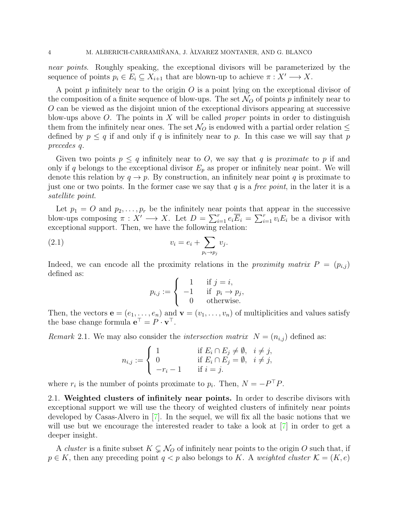<span id="page-3-0"></span>near points. Roughly speaking, the exceptional divisors will be parameterized by the sequence of points  $p_i \in E_i \subseteq X_{i+1}$  that are blown-up to achieve  $\pi : X' \longrightarrow X$ .

A point  $p$  infinitely near to the origin  $O$  is a point lying on the exceptional divisor of the composition of a finite sequence of blow-ups. The set  $\mathcal{N}_O$  of points p infinitely near to O can be viewed as the disjoint union of the exceptional divisors appearing at successive blow-ups above O. The points in X will be called *proper* points in order to distinguish them from the infinitely near ones. The set  $\mathcal{N}_O$  is endowed with a partial order relation  $\leq$ defined by  $p \leq q$  if and only if q is infinitely near to p. In this case we will say that p precedes q.

Given two points  $p \leq q$  infinitely near to O, we say that q is proximate to p if and only if q belongs to the exceptional divisor  $E_p$  as proper or infinitely near point. We will denote this relation by  $q \to p$ . By construction, an infinitely near point q is proximate to just one or two points. In the former case we say that  $q$  is a *free point*, in the later it is a satellite point.

Let  $p_1 = O$  and  $p_2, \ldots, p_r$  be the infinitely near points that appear in the successive blow-ups composing  $\pi : X' \longrightarrow X$ . Let  $D = \sum_{i=1}^r e_i \overline{E}_i = \sum_{i=1}^r v_i E_i$  be a divisor with exceptional support. Then, we have the following relation:

$$
(2.1) \t v_i = e_i + \sum_{p_i \to p_j} v_j.
$$

Indeed, we can encode all the proximity relations in the proximity matrix  $P = (p_{i,j})$ defined as:

$$
p_{i,j} := \begin{cases} 1 & \text{if } j = i, \\ -1 & \text{if } p_i \to p_j, \\ 0 & \text{otherwise.} \end{cases}
$$

Then, the vectors  $\mathbf{e} = (e_1, \ldots, e_n)$  and  $\mathbf{v} = (v_1, \ldots, v_n)$  of multiplicities and values satisfy the base change formula  $\mathbf{e}^{\top} = P \cdot \mathbf{v}^{\top}$ .

Remark 2.1. We may also consider the *intersection matrix*  $N = (n_{i,j})$  defined as:

$$
n_{i,j} := \begin{cases} 1 & \text{if } E_i \cap E_j \neq \emptyset, \quad i \neq j, \\ 0 & \text{if } E_i \cap E_j = \emptyset, \quad i \neq j, \\ -r_i - 1 & \text{if } i = j. \end{cases}
$$

where  $r_i$  is the number of points proximate to  $p_i$ . Then,  $N = -P^{\top}P$ .

2.1. Weighted clusters of infinitely near points. In order to describe divisors with exceptional support we will use the theory of weighted clusters of infinitely near points developed by Casas-Alvero in [\[7\]](#page-20-0). In the sequel, we will fix all the basic notions that we will use but we encourage the interested reader to take a look at  $[7]$  in order to get a deeper insight.

A *cluster* is a finite subset  $K \subsetneq \mathcal{N}_O$  of infinitely near points to the origin O such that, if  $p \in K$ , then any preceding point  $q < p$  also belongs to K. A weighted cluster  $\mathcal{K} = (K, e)$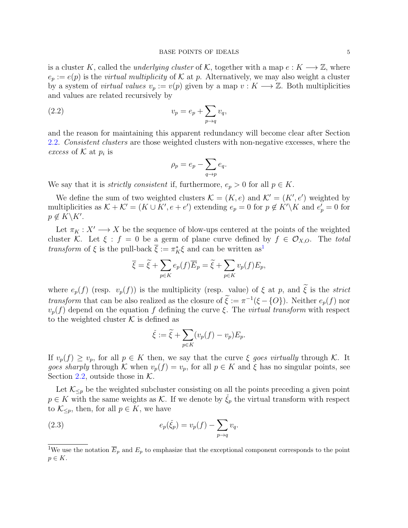is a cluster K, called the *underlying cluster* of K, together with a map  $e: K \longrightarrow \mathbb{Z}$ , where  $e_p := e(p)$  is the *virtual multiplicity* of K at p. Alternatively, we may also weight a cluster by a system of *virtual values*  $v_p := v(p)$  given by a map  $v : K \longrightarrow \mathbb{Z}$ . Both multiplicities and values are related recursively by

$$
(2.2) \t\t v_p = e_p + \sum_{p \to q} v_q,
$$

and the reason for maintaining this apparent redundancy will become clear after Section [2.2.](#page-5-0) Consistent clusters are those weighted clusters with non-negative excesses, where the excess of  $K$  at  $p_i$  is

<span id="page-4-1"></span>
$$
\rho_p = e_p - \sum_{q \to p} e_q.
$$

We say that it is *strictly consistent* if, furthermore,  $e_p > 0$  for all  $p \in K$ .

We define the sum of two weighted clusters  $\mathcal{K} = (K, e)$  and  $\mathcal{K}' = (K', e')$  weighted by multiplicities as  $K + K' = (K \cup K', e + e')$  extending  $e_p = 0$  for  $p \notin K' \backslash K$  and  $e'_p = 0$  for  $p \notin K\backslash K'.$ 

Let  $\pi_K : X' \longrightarrow X$  be the sequence of blow-ups centered at the points of the weighted cluster K. Let  $\xi : f = 0$  be a germ of plane curve defined by  $f \in \mathcal{O}_{X,O}$ . The total *transform* of  $\xi$  is the pull-back  $\overline{\xi} := \pi_K^* \xi$  and can be written as<sup>[1](#page-4-0)</sup>

$$
\overline{\xi} = \widetilde{\xi} + \sum_{p \in K} e_p(f) \overline{E}_p = \widetilde{\xi} + \sum_{p \in K} v_p(f) E_p,
$$

where  $e_p(f)$  (resp.  $v_p(f)$ ) is the multiplicity (resp. value) of  $\xi$  at p, and  $\tilde{\xi}$  is the *strict* transform that can be also realized as the closure of  $\xi := \pi^{-1}(\xi - \{O\})$ . Neither  $e_p(f)$  nor  $v_p(f)$  depend on the equation f defining the curve ξ. The *virtual transform* with respect to the weighted cluster  $K$  is defined as

<span id="page-4-2"></span>
$$
\check{\xi} := \widetilde{\xi} + \sum_{p \in K} (v_p(f) - v_p) E_p.
$$

If  $v_p(f) \ge v_p$ , for all  $p \in K$  then, we say that the curve  $\xi$  goes virtually through K. It goes sharply through K when  $v_p(f) = v_p$ , for all  $p \in K$  and  $\xi$  has no singular points, see Section [2.2,](#page-5-0) outside those in  $K$ .

Let  $\mathcal{K}_{\leq p}$  be the weighted subcluster consisting on all the points preceding a given point  $p \in K$  with the same weights as K. If we denote by  $\xi_p$  the virtual transform with respect to  $\mathcal{K}_{\leq p}$ , then, for all  $p \in K$ , we have

(2.3) 
$$
e_p(\check{\xi}_p) = v_p(f) - \sum_{p \to q} v_q.
$$

<span id="page-4-0"></span><sup>&</sup>lt;sup>1</sup>We use the notation  $\overline{E}_p$  and  $E_p$  to emphasize that the exceptional component corresponds to the point  $p \in K$ .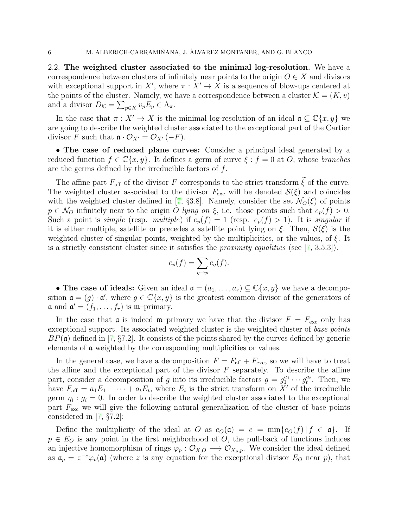<span id="page-5-1"></span><span id="page-5-0"></span>2.2. The weighted cluster associated to the minimal log-resolution. We have a correspondence between clusters of infinitely near points to the origin  $O \in X$  and divisors with exceptional support in X', where  $\pi : X' \to X$  is a sequence of blow-ups centered at the points of the cluster. Namely, we have a correspondence between a cluster  $\mathcal{K} = (K, v)$ and a divisor  $D_{\mathcal{K}} = \sum_{p \in K} v_p E_p \in \Lambda_{\pi}$ .

In the case that  $\pi : X' \to X$  is the minimal log-resolution of an ideal  $\mathfrak{a} \subseteq \mathbb{C}\{x, y\}$  we are going to describe the weighted cluster associated to the exceptional part of the Cartier divisor F such that  $\mathfrak{a} \cdot \mathcal{O}_{X'} = \mathcal{O}_{X'}(-F)$ .

• The case of reduced plane curves: Consider a principal ideal generated by a reduced function  $f \in \mathbb{C}\{x, y\}$ . It defines a germ of curve  $\xi : f = 0$  at O, whose branches are the germs defined by the irreducible factors of f.

The affine part  $F_{\text{aff}}$  of the divisor F corresponds to the strict transform  $\tilde{\xi}$  of the curve. The weighted cluster associated to the divisor  $F_{\text{exc}}$  will be denoted  $\mathcal{S}(\xi)$  and coincides with the weighted cluster defined in [\[7,](#page-20-0) §3.8]. Namely, consider the set  $\mathcal{N}_O(\xi)$  of points  $p \in \mathcal{N}_O$  infinitely near to the origin O lying on  $\xi$ , i.e. those points such that  $e_p(f) > 0$ . Such a point is *simple* (resp. *multiple*) if  $e_p(f) = 1$  (resp.  $e_p(f) > 1$ ). It is *singular* if it is either multiple, satellite or precedes a satellite point lying on  $\xi$ . Then,  $S(\xi)$  is the weighted cluster of singular points, weighted by the multiplicities, or the values, of  $\xi$ . It is a strictly consistent cluster since it satisfies the *proximity equalities* (see  $(7, 3.5.3)$ ).

$$
e_p(f) = \sum_{q \to p} e_q(f).
$$

• The case of ideals: Given an ideal  $\mathfrak{a} = (a_1, \ldots, a_r) \subseteq \mathbb{C}\{x, y\}$  we have a decomposition  $\mathfrak{a} = (g) \cdot \mathfrak{a}'$ , where  $g \in \mathbb{C}\{x, y\}$  is the greatest common divisor of the generators of  $\mathfrak{a}$  and  $\mathfrak{a}' = (f_1, \ldots, f_r)$  is  $\mathfrak{m}$ -primary.

In the case that  $\mathfrak a$  is indeed m–primary we have that the divisor  $F = F_{\rm exc}$  only has exceptional support. Its associated weighted cluster is the weighted cluster of base points  $BP(\mathfrak{a})$  defined in [\[7,](#page-20-0) §7.2]. It consists of the points shared by the curves defined by generic elements of a weighted by the corresponding multiplicities or values.

In the general case, we have a decomposition  $F = F_{\text{aff}} + F_{\text{exc}}$ , so we will have to treat the affine and the exceptional part of the divisor  $F$  separately. To describe the affine part, consider a decomposition of g into its irreducible factors  $g = g_1^{a_1} \cdots g_t^{a_t}$ . Then, we have  $F_{\text{aff}} = a_1 E_1 + \cdots + a_t E_t$ , where  $E_i$  is the strict transform on X' of the irreducible germ  $\eta_i : g_i = 0$ . In order to describe the weighted cluster associated to the exceptional part  $F_{\text{exc}}$  we will give the following natural generalization of the cluster of base points considered in [\[7,](#page-20-0) §7.2]:

Define the multiplicity of the ideal at O as  $e_{\mathcal{O}}(\mathfrak{a}) = e = \min\{e_{\mathcal{O}}(f) | f \in \mathfrak{a}\}\.$  If  $p \in E_O$  is any point in the first neighborhood of  $O$ , the pull-back of functions induces an injective homomorphism of rings  $\varphi_p : \mathcal{O}_{X,Q} \longrightarrow \mathcal{O}_{X_p,p}$ . We consider the ideal defined as  $a_p = z^{-e} \varphi_p(\mathfrak{a})$  (where z is any equation for the exceptional divisor  $E_O$  near p), that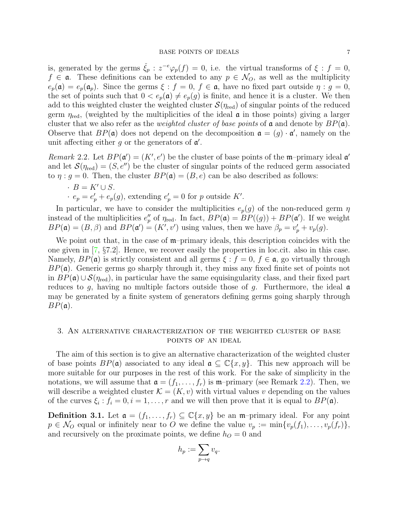<span id="page-6-3"></span>is, generated by the germs  $\check{\xi}_p : z^{-e}\varphi_p(f) = 0$ , i.e. the virtual transforms of  $\xi : f = 0$ ,  $f \in \mathfrak{a}$ . These definitions can be extended to any  $p \in \mathcal{N}_O$ , as well as the multiplicity  $e_p(\mathfrak{a}) = e_p(\mathfrak{a}_p)$ . Since the germs  $\xi : f = 0, f \in \mathfrak{a}$ , have no fixed part outside  $\eta : g = 0$ , the set of points such that  $0 < e_p(\mathfrak{a}) \neq e_p(g)$  is finite, and hence it is a cluster. We then add to this weighted cluster the weighted cluster  $\mathcal{S}(\eta_{\text{red}})$  of singular points of the reduced germ  $\eta_{\text{red}}$ , (weighted by the multiplicities of the ideal  $\alpha$  in those points) giving a larger cluster that we also refer as the *weighted cluster of base points* of **a** and denote by  $BP(\mathfrak{a})$ . Observe that  $BP(\mathfrak{a})$  does not depend on the decomposition  $\mathfrak{a} = (g) \cdot \mathfrak{a}'$ , namely on the unit affecting either  $g$  or the generators of  $\mathfrak{a}'$ .

<span id="page-6-0"></span>Remark 2.2. Let  $BP(\mathfrak{a}') = (K', e')$  be the cluster of base points of the m-primary ideal  $\mathfrak{a}'$ and let  $\mathcal{S}(\eta_{\text{red}}) = (S, e'')$  be the cluster of singular points of the reduced germ associated to  $\eta : g = 0$ . Then, the cluster  $BP(\mathfrak{a}) = (B, e)$  can be also described as follows:

 $\cdot$  B = K'  $\cup$  S.  $e_p = e'_p + e_p(g)$ , extending  $e'_p = 0$  for p outside K'.

In particular, we have to consider the multiplicities  $e_p(g)$  of the non-reduced germ  $\eta$ instead of the multiplicities  $e_p''$  of  $\eta_{\text{red}}$ . In fact,  $BP(\mathfrak{a}) = BP((g)) + BP(\mathfrak{a}')$ . If we weight  $BP(\mathfrak{a}) = (B, \beta)$  and  $BP(\mathfrak{a}') = (K', v')$  using values, then we have  $\beta_p = v'_p + v_p(g)$ .

We point out that, in the case of  $m$ –primary ideals, this description coincides with the one given in [\[7,](#page-20-0) §7.2]. Hence, we recover easily the properties in loc.cit. also in this case. Namely,  $BP(\mathfrak{a})$  is strictly consistent and all germs  $\xi : f = 0, f \in \mathfrak{a}$ , go virtually through  $BP(\mathfrak{a})$ . Generic germs go sharply through it, they miss any fixed finite set of points not in  $BP(\mathfrak{a}) \cup \mathcal{S}(\eta_{\text{red}})$ , in particular have the same equisingularity class, and their fixed part reduces to g, having no multiple factors outside those of g. Furthermore, the ideal  $\mathfrak a$ may be generated by a finite system of generators defining germs going sharply through  $BP(\mathfrak{a}).$ 

### <span id="page-6-1"></span>3. An alternative characterization of the weighted cluster of base points of an ideal

The aim of this section is to give an alternative characterization of the weighted cluster of base points  $BP(\mathfrak{a})$  associated to any ideal  $\mathfrak{a} \subseteq \mathbb{C}\{x,y\}$ . This new approach will be more suitable for our purposes in the rest of this work. For the sake of simplicity in the notations, we will assume that  $\mathfrak{a} = (f_1, \ldots, f_r)$  is  $\mathfrak{m}$ -primary (see Remark [2.2\)](#page-6-0). Then, we will describe a weighted cluster  $\mathcal{K} = (K, v)$  with virtual values v depending on the values of the curves  $\xi_i : f_i = 0, i = 1, \ldots, r$  and we will then prove that it is equal to  $BP(\mathfrak{a})$ .

<span id="page-6-2"></span>**Definition 3.1.** Let  $\mathfrak{a} = (f_1, \ldots, f_r) \subseteq \mathbb{C}\{x, y\}$  be an m-primary ideal. For any point  $p \in \mathcal{N}_O$  equal or infinitely near to O we define the value  $v_p := \min\{v_p(f_1), \ldots, v_p(f_r)\},$ and recursively on the proximate points, we define  $h<sub>O</sub> = 0$  and

$$
h_p := \sum_{p \to q} v_q.
$$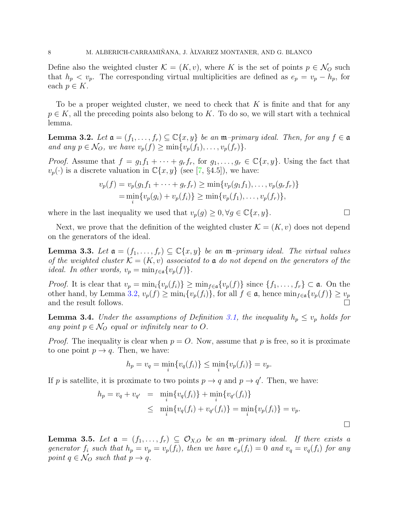<span id="page-7-4"></span>Define also the weighted cluster  $\mathcal{K} = (K, v)$ , where K is the set of points  $p \in \mathcal{N}_O$  such that  $h_p < v_p$ . The corresponding virtual multiplicities are defined as  $e_p = v_p - h_p$ , for each  $p \in K$ .

To be a proper weighted cluster, we need to check that  $K$  is finite and that for any  $p \in K$ , all the preceding points also belong to K. To do so, we will start with a technical lemma.

<span id="page-7-0"></span>**Lemma 3.2.** Let  $\mathfrak{a} = (f_1, \ldots, f_r) \subseteq \mathbb{C}\{x, y\}$  be an  $\mathfrak{m}$ -primary ideal. Then, for any  $f \in \mathfrak{a}$ and any  $p \in \mathcal{N}_O$ , we have  $v_p(f) \ge \min\{v_p(f_1), \ldots, v_p(f_r)\}.$ 

*Proof.* Assume that  $f = g_1 f_1 + \cdots + g_r f_r$ , for  $g_1, \ldots, g_r \in \mathbb{C}\lbrace x, y \rbrace$ . Using the fact that  $v_p(\cdot)$  is a discrete valuation in  $\mathbb{C}\lbrace x,y\rbrace$  (see [\[7,](#page-20-0) §4.5]), we have:

$$
v_p(f) = v_p(g_1f_1 + \dots + g_rf_r) \ge \min\{v_p(g_1f_1), \dots, v_p(g_rf_r)\}\
$$
  
=  $\min_i\{v_p(g_i) + v_p(f_i)\} \ge \min\{v_p(f_1), \dots, v_p(f_r)\},$ 

where in the last inequality we used that  $v_p(g) \geq 0, \forall g \in \mathbb{C}\{x, y\}.$ 

Next, we prove that the definition of the weighted cluster  $\mathcal{K} = (K, v)$  does not depend on the generators of the ideal.

<span id="page-7-3"></span>**Lemma 3.3.** Let  $\mathfrak{a} = (f_1, \ldots, f_r) \subseteq \mathbb{C}\{x, y\}$  be an  $\mathfrak{m}$ -primary ideal. The virtual values of the weighted cluster  $\mathcal{K} = (K, v)$  associated to **a** do not depend on the generators of the *ideal.* In other words,  $v_p = \min_{f \in \mathfrak{a}} \{v_p(f)\}.$ 

*Proof.* It is clear that  $v_p = \min_i \{v_p(f_i)\} \geq \min_{f \in \mathfrak{a}} \{v_p(f)\}$  since  $\{f_1, \ldots, f_r\} \subset \mathfrak{a}$ . On the other hand, by Lemma [3.2,](#page-7-0)  $v_p(f) \ge \min_i \{v_p(f_i)\}\$ , for all  $f \in \mathfrak{a}$ , hence  $\min_{f \in \mathfrak{a}} \{v_p(f)\} \ge v_p$ and the result follows.  $\Box$ 

<span id="page-7-2"></span>**Lemma 3.4.** Under the assumptions of Definition [3.1,](#page-6-2) the inequality  $h_p \leq v_p$  holds for any point  $p \in \mathcal{N}_O$  equal or infinitely near to O.

*Proof.* The inequality is clear when  $p = O$ . Now, assume that p is free, so it is proximate to one point  $p \to q$ . Then, we have:

$$
h_p = v_q = \min_i \{ v_q(f_i) \} \le \min_i \{ v_p(f_i) \} = v_p.
$$

If p is satellite, it is proximate to two points  $p \to q$  and  $p \to q'$ . Then, we have:

$$
h_p = v_q + v_{q'} = \min_i \{v_q(f_i)\} + \min_i \{v_{q'}(f_i)\}
$$
  
 
$$
\leq \min_i \{v_q(f_i) + v_{q'}(f_i)\} = \min_i \{v_p(f_i)\} = v_p.
$$

<span id="page-7-1"></span>**Lemma 3.5.** Let  $a = (f_1, \ldots, f_r) \subseteq \mathcal{O}_{X,O}$  be an m-primary ideal. If there exists a generator  $f_i$  such that  $h_p = v_p = v_p(f_i)$ , then we have  $e_p(f_i) = 0$  and  $v_q = v_q(f_i)$  for any point  $q \in \mathcal{N}_O$  such that  $p \to q$ .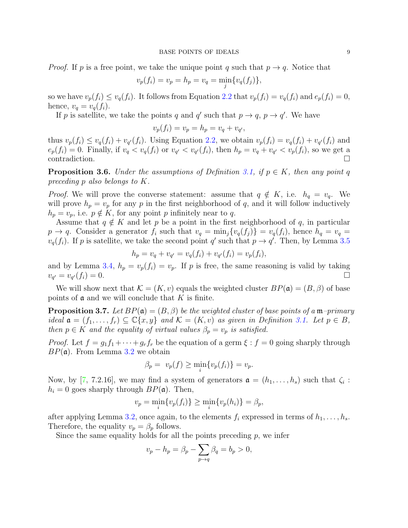<span id="page-8-2"></span>*Proof.* If p is a free point, we take the unique point q such that  $p \rightarrow q$ . Notice that

$$
v_p(f_i) = v_p = h_p = v_q = \min_j \{ v_q(f_j) \},
$$

so we have  $v_p(f_i) \le v_q(f_i)$ . It follows from Equation [2.2](#page-4-1) that  $v_p(f_i) = v_q(f_i)$  and  $e_p(f_i) = 0$ , hence,  $v_q = v_q(f_i)$ .

If p is satellite, we take the points q and q' such that  $p \to q$ ,  $p \to q'$ . We have

$$
v_p(f_i) = v_p = h_p = v_q + v_{q'},
$$

thus  $v_p(f_i) \le v_q(f_i) + v_{q'}(f_i)$ . Using Equation [2.2,](#page-4-1) we obtain  $v_p(f_i) = v_q(f_i) + v_{q'}(f_i)$  and  $e_p(f_i) = 0$ . Finally, if  $v_q < v_q(f_i)$  or  $v_{q'} < v_{q'}(f_i)$ , then  $h_p = v_q + v_{q'} < v_p(f_i)$ , so we get a contradiction.

<span id="page-8-1"></span>**Proposition 3.6.** Under the assumptions of Definition [3.1,](#page-6-2) if  $p \in K$ , then any point q preceding p also belongs to K.

*Proof.* We will prove the converse statement: assume that  $q \notin K$ , i.e.  $h_q = v_q$ . We will prove  $h_p = v_p$  for any p in the first neighborhood of q, and it will follow inductively  $h_p = v_p$ , i.e.  $p \notin K$ , for any point p infinitely near to q.

Assume that  $q \notin K$  and let p be a point in the first neighborhood of q, in particular  $p \to q$ . Consider a generator  $f_i$  such that  $v_q = \min_j \{v_q(f_j)\} = v_q(f_i)$ , hence  $h_q = v_q =$  $v_q(f_i)$ . If p is satellite, we take the second point q' such that  $p \to q'$ . Then, by Lemma [3.5](#page-7-1)

$$
h_p = v_q + v_{q'} = v_q(f_i) + v_{q'}(f_i) = v_p(f_i),
$$

and by Lemma [3.4,](#page-7-2)  $h_p = v_p(f_i) = v_p$ . If p is free, the same reasoning is valid by taking  $v_{q'} = v_q$  $\mathcal{L}(f_i) = 0.$ 

We will show next that  $\mathcal{K} = (K, v)$  equals the weighted cluster  $BP(\mathfrak{a}) = (B, \beta)$  of base points of  $\mathfrak a$  and we will conclude that K is finite.

<span id="page-8-0"></span>**Proposition 3.7.** Let  $BP(\mathfrak{a}) = (B, \beta)$  be the weighted cluster of base points of a  $\mathfrak{m}$ -primary ideal  $\mathfrak{a} = (f_1, \ldots, f_r) \subseteq \mathbb{C}\{x, y\}$  and  $\mathcal{K} = (K, v)$  as given in Definition [3.1.](#page-6-2) Let  $p \in B$ , then  $p \in K$  and the equality of virtual values  $\beta_p = v_p$  is satisfied.

*Proof.* Let  $f = g_1 f_1 + \cdots + g_r f_r$  be the equation of a germ  $\xi : f = 0$  going sharply through  $BP(\mathfrak{a})$ . From Lemma [3.2](#page-7-0) we obtain

$$
\beta_p = v_p(f) \ge \min_i \{v_p(f_i)\} = v_p.
$$

Now, by [\[7,](#page-20-0) 7.2.16], we may find a system of generators  $\mathfrak{a} = (h_1, \ldots, h_s)$  such that  $\zeta_i$ :  $h_i = 0$  goes sharply through  $BP(\mathfrak{a})$ . Then,

$$
v_p = \min_i \{ v_p(f_i) \} \ge \min_i \{ v_p(h_i) \} = \beta_p,
$$

after applying Lemma [3.2,](#page-7-0) once again, to the elements  $f_i$  expressed in terms of  $h_1, \ldots, h_s$ . Therefore, the equality  $v_p = \beta_p$  follows.

Since the same equality holds for all the points preceding  $p$ , we infer

$$
v_p - h_p = \beta_p - \sum_{p \to q} \beta_q = b_p > 0,
$$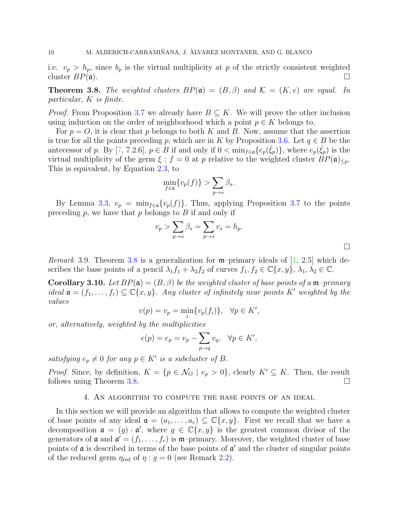<span id="page-9-3"></span>i.e.  $v_p > h_p$ , since  $b_p$  is the virtual multiplicity at p of the strictly consistent weighted cluster  $BP(\mathfrak{a})$ .

<span id="page-9-1"></span>**Theorem 3.8.** The weighted clusters  $BP(\mathfrak{a}) = (B, \beta)$  and  $\mathcal{K} = (K, v)$  are equal. In particular, K is finite.

*Proof.* From Proposition [3.7](#page-8-0) we already have  $B \subseteq K$ . We will prove the other inclusion using induction on the order of neighborhood which a point  $p \in K$  belongs to.

For  $p = O$ , it is clear that p belongs to both K and B. Now, assume that the assertion is true for all the points preceding p, which are in K by Proposition [3.6.](#page-8-1) Let  $q \in B$  be the antecessor of p. By [\[7,](#page-20-0) 7.2.6],  $p \in B$  if and only if  $0 < \min_{f \in \mathfrak{a}} \{e_p(\check{\xi}_p)\}\)$ , where  $e_p(\check{\xi}_p)$  is the virtual multiplicity of the germ  $\xi : f = 0$  at p relative to the weighted cluster  $BP(\mathfrak{a})_{\leq p}$ . This is equivalent, by Equation [2.3,](#page-4-2) to

$$
\min_{f \in \mathfrak{a}} \{ v_p(f) \} > \sum_{p \to s} \beta_s.
$$

By Lemma [3.3,](#page-7-3)  $v_p = \min_{f \in \mathfrak{a}} \{v_p(f)\}\$ . Thus, applying Proposition [3.7](#page-8-0) to the points preceding  $p$ , we have that  $p$  belongs to  $B$  if and only if

$$
v_p > \sum_{p \to s} \beta_s = \sum_{p \to s} v_s = h_p.
$$

 $\Box$ 

*Remark* 3.9. Theorem [3.8](#page-9-1) is a generalization for  $m$ –primary ideals of [\[1,](#page-20-4) 2.5] which describes the base points of a pencil  $\lambda_1 f_1 + \lambda_2 f_2$  of curves  $f_1, f_2 \in \mathbb{C}\{x, y\}, \lambda_1, \lambda_2 \in \mathbb{C}$ .

<span id="page-9-2"></span>**Corollary 3.10.** Let  $BP(\mathfrak{a}) = (B, \beta)$  be the weighted cluster of base points of a m-primary ideal  $\mathfrak{a} = (f_1, \ldots, f_r) \subseteq \mathbb{C}\{x, y\}$ . Any cluster of infinitely near points K' weighted by the values

$$
v(p) = v_p = \min_i \{ v_p(f_i) \}, \quad \forall p \in K',
$$

or, alternatively, weighted by the multiplicities

$$
e(p) = e_p = v_p - \sum_{p \to q} v_q, \quad \forall p \in K',
$$

satisfying  $e_p \neq 0$  for any  $p \in K'$  is a subcluster of B.

*Proof.* Since, by definition,  $K = \{p \in \mathcal{N}_0 \mid e_p > 0\}$ , clearly  $K' \subseteq K$ . Then, the result follows using Theorem [3.8.](#page-9-1)

### 4. An algorithm to compute the base points of an ideal

<span id="page-9-0"></span>In this section we will provide an algorithm that allows to compute the weighted cluster of base points of any ideal  $\mathfrak{a} = (a_1, \ldots, a_r) \subseteq \mathbb{C}\{x, y\}$ . First we recall that we have a decomposition  $\mathfrak{a} = (g) \cdot \mathfrak{a}'$ , where  $g \in \mathbb{C}\{x, y\}$  is the greatest common divisor of the generators of  $\mathfrak a$  and  $\mathfrak a' = (f_1, \ldots, f_r)$  is  $\mathfrak m$ -primary. Moreover, the weighted cluster of base points of  $\alpha$  is described in terms of the base points of  $\alpha'$  and the cluster of singular points of the reduced germ  $\eta_{\text{red}}$  of  $\eta : g = 0$  (see Remark [2.2\)](#page-6-0).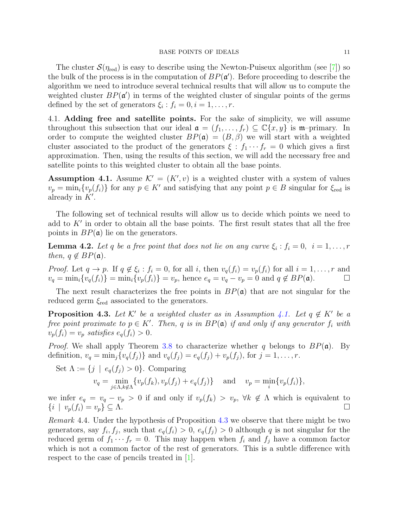<span id="page-10-4"></span>The cluster  $\mathcal{S}(\eta_{\text{red}})$  is easy to describe using the Newton-Puiseux algorithm (see [\[7\]](#page-20-0)) so the bulk of the process is in the computation of  $BP(\mathfrak{a}')$ . Before proceeding to describe the algorithm we need to introduce several technical results that will allow us to compute the weighted cluster  $BP(\mathfrak{a}')$  in terms of the weighted cluster of singular points of the germs defined by the set of generators  $\xi_i : f_i = 0, i = 1, \ldots, r$ .

<span id="page-10-0"></span>4.1. Adding free and satellite points. For the sake of simplicity, we will assume throughout this subsection that our ideal  $\mathfrak{a} = (f_1, \ldots, f_r) \subseteq \mathbb{C}\{x, y\}$  is  $\mathfrak{m}$ -primary. In order to compute the weighted cluster  $BP(\mathfrak{a}) = (B, \beta)$  we will start with a weighted cluster associated to the product of the generators  $\xi : f_1 \cdots f_r = 0$  which gives a first approximation. Then, using the results of this section, we will add the necessary free and satellite points to this weighted cluster to obtain all the base points.

<span id="page-10-1"></span>**Assumption 4.1.** Assume  $\mathcal{K}' = (K', v)$  is a weighted cluster with a system of values  $v_p = \min_i \{v_p(f_i)\}\$ for any  $p \in K'$  and satisfying that any point  $p \in B$  singular for  $\xi_{\text{red}}$  is already in  $K'$ .

The following set of technical results will allow us to decide which points we need to add to  $K'$  in order to obtain all the base points. The first result states that all the free points in  $BP(\mathfrak{a})$  lie on the generators.

<span id="page-10-3"></span>**Lemma 4.2.** Let q be a free point that does not lie on any curve  $\xi_i : f_i = 0, i = 1, \ldots, r$ then,  $q \notin BP(\mathfrak{a})$ .

*Proof.* Let  $q \to p$ . If  $q \notin \xi_i : f_i = 0$ , for all i, then  $v_q(f_i) = v_p(f_i)$  for all  $i = 1, \ldots, r$  and  $v_q = \min_i \{v_q(f_i)\} = \min_i \{v_p(f_i)\} = v_p$ , hence  $e_q = v_q - v_p = 0$  and  $q \notin BP(\mathfrak{a})$ .

The next result characterizes the free points in  $BP(\mathfrak{a})$  that are not singular for the reduced germ  $\xi_{\text{red}}$  associated to the generators.

<span id="page-10-2"></span>**Proposition 4.3.** Let K' be a weighted cluster as in Assumption [4.1.](#page-10-1) Let  $q \notin K'$  be a free point proximate to  $p \in K'$ . Then, q is in  $BP(\mathfrak{a})$  if and only if any generator  $f_i$  with  $v_p(f_i) = v_p$  satisfies  $e_q(f_i) > 0$ .

*Proof.* We shall apply Theorem [3.8](#page-9-1) to characterize whether q belongs to  $BP(\mathfrak{a})$ . By definition,  $v_q = \min_j \{v_q(f_j)\}\$ and  $v_q(f_j) = e_q(f_j) + v_p(f_j)$ , for  $j = 1, ..., r$ .

Set  $\Lambda := \{j \mid e_q(f_j) > 0\}$ . Comparing

$$
v_q = \min_{j \in \Lambda, k \notin \Lambda} \{v_p(f_k), v_p(f_j) + e_q(f_j)\}\
$$
 and  $v_p = \min_i \{v_p(f_i)\},$ 

we infer  $e_q = v_q - v_p > 0$  if and only if  $v_p(f_k) > v_p$ ,  $\forall k \notin \Lambda$  which is equivalent to  $\{i \mid v_p(f_i) = v_p\} \subseteq \Lambda.$ 

Remark 4.4. Under the hypothesis of Proposition [4.3](#page-10-2) we observe that there might be two generators, say  $f_i, f_j$ , such that  $e_q(f_i) > 0$ ,  $e_q(f_j) > 0$  although q is not singular for the reduced germ of  $f_1 \cdots f_r = 0$ . This may happen when  $f_i$  and  $f_j$  have a common factor which is not a common factor of the rest of generators. This is a subtle difference with respect to the case of pencils treated in [\[1\]](#page-20-4).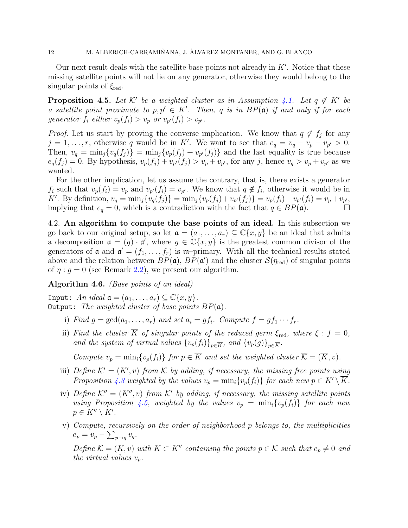12 M. ALBERICH-CARRAMIÑANA, J. ÀLVAREZ MONTANER, AND G. BLANCO

Our next result deals with the satellite base points not already in  $K'$ . Notice that these missing satellite points will not lie on any generator, otherwise they would belong to the singular points of  $\xi_{\text{red}}$ .

<span id="page-11-1"></span>**Proposition 4.5.** Let K' be a weighted cluster as in Assumption [4.1.](#page-10-1) Let  $q \notin K'$  be a satellite point proximate to  $p, p' \in K'$ . Then, q is in  $BP(\mathfrak{a})$  if and only if for each generator  $f_i$  either  $v_p(f_i) > v_p$  or  $v_{p'}(f_i) > v_{p'}$ .

*Proof.* Let us start by proving the converse implication. We know that  $q \notin f_j$  for any  $j = 1, \ldots, r$ , otherwise q would be in K'. We want to see that  $e_q = v_q - v_p - v_{p'} > 0$ . Then,  $v_q = \min_j \{v_q(f_j)\} = \min_j \{v_p(f_j) + v_{p'}(f_j)\}$  and the last equality is true because  $e_q(f_j) = 0$ . By hypothesis,  $v_p(f_j) + v_{p'}(f_j) > v_p + v_{p'}$ , for any j, hence  $v_q > v_p + v_{p'}$  as we wanted.

For the other implication, let us assume the contrary, that is, there exists a generator  $f_i$  such that  $v_p(f_i) = v_p$  and  $v_{p'}(f_i) = v_{p'}$ . We know that  $q \notin f_i$ , otherwise it would be in K'. By definition,  $v_q = \min_j \{v_q(f_j)\} = \min_j \{v_p(f_j) + v_{p'}(f_j)\} = v_p(f_i) + v_{p'}(f_i) = v_p + v_{p'}$ implying that  $e_q = 0$ , which is a contradiction with the fact that  $q \in BP(\mathfrak{a})$ .

4.2. An algorithm to compute the base points of an ideal. In this subsection we go back to our original setup, so let  $\mathfrak{a} = (a_1, \ldots, a_r) \subseteq \mathbb{C}\{x, y\}$  be an ideal that admits a decomposition  $\mathfrak{a} = (g) \cdot \mathfrak{a}'$ , where  $g \in \mathbb{C}\{x, y\}$  is the greatest common divisor of the generators of **a** and  $\mathbf{a}' = (f_1, \ldots, f_r)$  is **m**-primary. With all the technical results stated above and the relation between  $BP(\mathfrak{a})$ ,  $BP(\mathfrak{a}')$  and the cluster  $\mathcal{S}(\eta_{\text{red}})$  of singular points of  $\eta$  :  $g = 0$  (see Remark [2.2\)](#page-6-0), we present our algorithm.

<span id="page-11-0"></span>Algorithm 4.6. (Base points of an ideal)

Input: An ideal  $\mathfrak{a} = (a_1, \ldots, a_r) \subseteq \mathbb{C}\{x, y\}.$ **Output:** The weighted cluster of base points  $BP(\mathfrak{a})$ .

- i) Find  $g = \gcd(a_1, \ldots, a_r)$  and set  $a_i = gf_i$ . Compute  $f = gf_1 \cdots f_r$ .
- ii) Find the cluster K of singular points of the reduced germ  $\xi_{\text{red}}$ , where  $\xi : f = 0$ , and the system of virtual values  ${v_p(f_i)}_{p\in\overline{K}}$ , and  ${v_p(g)}_{p\in\overline{K}}$ .

Compute  $v_p = \min_i \{v_p(f_i)\}\$  for  $p \in \overline{K}$  and set the weighted cluster  $\overline{\mathcal{K}} = (\overline{K}, v)$ .

- iii) Define  $\mathcal{K}' = (K', v)$  from  $\overline{\mathcal{K}}$  by adding, if necessary, the missing free points using Proposition [4.3](#page-10-2) weighted by the values  $v_p = \min_i \{v_p(f_i)\}\$  for each new  $p \in K' \setminus K$ .
- iv) Define  $K'' = (K'', v)$  from K' by adding, if necessary, the missing satellite points using Proposition [4.5,](#page-11-1) weighted by the values  $v_p = \min_i \{v_p(f_i)\}\)$  for each new  $p \in K'' \setminus K'.$
- v) Compute, recursively on the order of neighborhood p belongs to, the multiplicities  $e_p = v_p - \sum_{p \to q} v_q.$

Define  $\mathcal{K} = (K, v)$  with  $K \subset K''$  containing the points  $p \in \mathcal{K}$  such that  $e_p \neq 0$  and the virtual values  $v_p$ .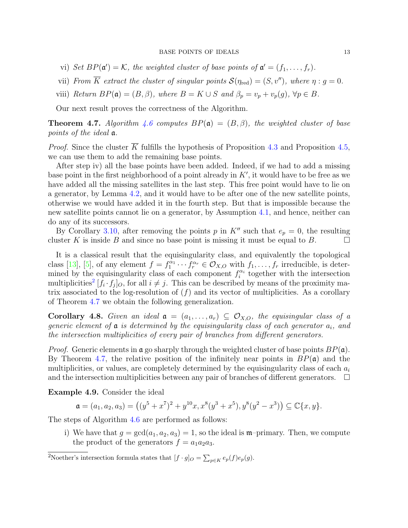- <span id="page-12-2"></span>vi) Set  $BP(\mathfrak{a}') = \mathcal{K}$ , the weighted cluster of base points of  $\mathfrak{a}' = (f_1, \ldots, f_r)$ .
- vii) From  $\overline{K}$  extract the cluster of singular points  $\mathcal{S}(\eta_{\text{red}}) = (S, v'')$ , where  $\eta : g = 0$ .
- viii) Return  $BP(\mathfrak{a}) = (B, \beta)$ , where  $B = K \cup S$  and  $\beta_p = v_p + v_p(g)$ ,  $\forall p \in B$ .

Our next result proves the correctness of the Algorithm.

<span id="page-12-1"></span>**Theorem 4.7.** Algorithm [4.6](#page-11-0) computes  $BP(\mathfrak{a}) = (B, \beta)$ , the weighted cluster of base points of the ideal a.

*Proof.* Since the cluster  $\overline{K}$  fulfills the hypothesis of Proposition [4.3](#page-10-2) and Proposition [4.5,](#page-11-1) we can use them to add the remaining base points.

After step iv) all the base points have been added. Indeed, if we had to add a missing base point in the first neighborhood of a point already in  $K'$ , it would have to be free as we have added all the missing satellites in the last step. This free point would have to lie on a generator, by Lemma [4.2,](#page-10-3) and it would have to be after one of the new satellite points, otherwise we would have added it in the fourth step. But that is impossible because the new satellite points cannot lie on a generator, by Assumption [4.1,](#page-10-1) and hence, neither can do any of its successors.

By Corollary [3.10,](#page-9-2) after removing the points p in K<sup>n</sup> such that  $e_p = 0$ , the resulting cluster K is inside B and since no base point is missing it must be equal to B.  $\Box$ 

It is a classical result that the equisingularity class, and equivalently the topological class [\[13\]](#page-20-5), [\[5\]](#page-20-6), of any element  $f = f_1^{\alpha_1} \cdots f_r^{\alpha_r} \in \mathcal{O}_{X,O}$  with  $f_1, \ldots, f_r$  irreducible, is determined by the equisingularity class of each component  $f_i^{\alpha_i}$  together with the intersection multiplicities<sup>[2](#page-12-0)</sup>  $[f_i \cdot f_j]_O$ , for all  $i \neq j$ . This can be described by means of the proximity matrix associated to the log-resolution of  $(f)$  and its vector of multiplicities. As a corollary of Theorem [4.7](#page-12-1) we obtain the following generalization.

Corollary 4.8. Given an ideal  $a = (a_1, \ldots, a_r) \subseteq \mathcal{O}_{X,O}$ , the equisingular class of a generic element of  $\alpha$  is determined by the equisingularity class of each generator  $a_i$ , and the intersection multiplicities of every pair of branches from different generators.

*Proof.* Generic elements in  $\mathfrak{a}$  go sharply through the weighted cluster of base points  $BP(\mathfrak{a})$ . By Theorem [4.7,](#page-12-1) the relative position of the infinitely near points in  $BP(\mathfrak{a})$  and the multiplicities, or values, are completely determined by the equisingularity class of each  $a_i$ and the intersection multiplicities between any pair of branches of different generators.  $\Box$ 

Example 4.9. Consider the ideal

 $\mathfrak{a} = (a_1, a_2, a_3) = ((y^5 + x^7)^2 + y^{10}x, x^8(y^3 + x^5), y^8(y^2 - x^3)) \subseteq \mathbb{C}{x, y}.$ 

The steps of Algorithm [4.6](#page-11-0) are performed as follows:

i) We have that  $g = \gcd(a_1, a_2, a_3) = 1$ , so the ideal is m-primary. Then, we compute the product of the generators  $f = a_1 a_2 a_3$ .

<span id="page-12-0"></span><sup>2</sup>Noether's intersection formula states that  $[f \cdot g]_O = \sum_{p \in K} e_p(f) e_p(g)$ .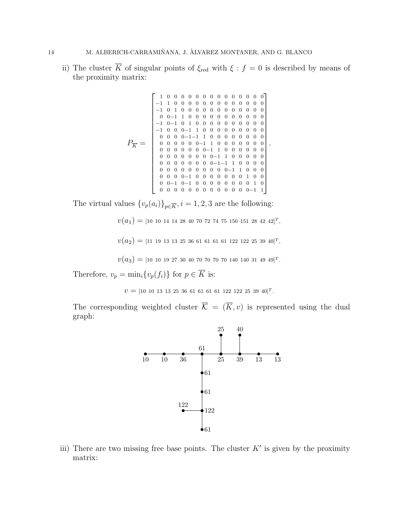ii) The cluster  $\overline{K}$  of singular points of  $\xi_{\text{red}}$  with  $\xi : f = 0$  is described by means of the proximity matrix:

P<sup>K</sup> = 1 0 0 0 0 0 0 0 0 0 0 0 0 0 0 −1 1 0 0 0 0 0 0 0 0 0 0 0 0 0 −1 0 1 0 0 0 0 0 0 0 0 0 0 0 0 0 0−1 1 0 0 0 0 0 0 0 0 0 0 0 −1 0−1 0 1 0 0 0 0 0 0 0 0 0 0 −1 0 0 0−1 1 0 0 0 0 0 0 0 0 0 0 0 0 0−1−1 1 0 0 0 0 0 0 0 0 0 0 0 0 0 0−1 1 0 0 0 0 0 0 0 0 0 0 0 0 0 0−1 1 0 0 0 0 0 0 0 0 0 0 0 0 0 0−1 1 0 0 0 0 0 0 0 0 0 0 0 0 0−1−1 1 0 0 0 0 0 0 0 0 0 0 0 0 0 0−1 1 0 0 0 0 0 0 0−1 0 0 0 0 0 0 0 1 0 0 0 0−1 0−1 0 0 0 0 0 0 0 0 1 0 0 0 0 0 0 0 0 0 0 0 0 0 0−1 1 .

The virtual values  $\{v_p(a_i)\}_{p\in\overline{K}}, i = 1, 2, 3$  are the following:

 $v(a_1) = {\scriptstyle \left[10 \;10 \;14 \;14 \;28 \;40 \;70 \;72 \;74 \;75 \;150 \;151 \;28 \;42 \;42 \right]}^T,$ 

 $v\bigl(a_2\bigr) = [ \text{1} \text{1} \text{1} \text{9} \text{1} \text{3} \text{1} \text{3} \text{2} \text{5} \text{3} \text{6} \text{6} \text{1} \text{6} \text{1} \text{6} \text{1} \text{6} \text{1} \text{1} \text{2} \text{2} \text{1} \text{2} \text{2} \text{5} \text{3} \text{9} \text{4} \text{0} ]^T,$ 

 $v(a_3) = [10 \t10 \t19 \t27 \t30 \t40 \t70 \t70 \t70 \t140 \t140 \t31 \t49 \t49]^{T}$ .

Therefore,  $v_p = \min_i \{v_p(f_i)\}\)$  for  $p \in \overline{K}$  is:

 $v = [10 \ 10 \ 13 \ 13 \ 25 \ 36 \ 61 \ 61 \ 61 \ 61 \ 122 \ 122 \ 25 \ 39 \ 40]^T$ .

The corresponding weighted cluster  $\overline{\mathcal{K}} = (\overline{K}, v)$  is represented using the dual graph:



iii) There are two missing free base points. The cluster  $K'$  is given by the proximity matrix: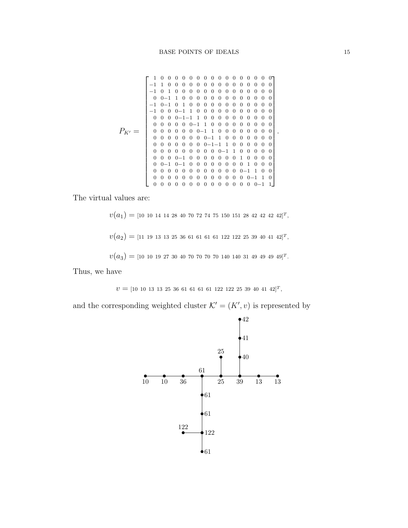PK<sup>0</sup> = 1 0 0 0 0 0 0 0 0 0 0 0 0 0 0 0 0 −1 1 0 0 0 0 0 0 0 0 0 0 0 0 0 0 0 −1 0 1 0 0 0 0 0 0 0 0 0 0 0 0 0 0 0 0−1 1 0 0 0 0 0 0 0 0 0 0 0 0 0 −1 0−1 0 1 0 0 0 0 0 0 0 0 0 0 0 0 −1 0 0 0−1 1 0 0 0 0 0 0 0 0 0 0 0 0 0 0 0−1−1 1 0 0 0 0 0 0 0 0 0 0 0 0 0 0 0 0−1 1 0 0 0 0 0 0 0 0 0 0 0 0 0 0 0 0−1 1 0 0 0 0 0 0 0 0 0 0 0 0 0 0 0 0−1 1 0 0 0 0 0 0 0 0 0 0 0 0 0 0 0−1−1 1 0 0 0 0 0 0 0 0 0 0 0 0 0 0 0 0−1 1 0 0 0 0 0 0 0 0 0−1 0 0 0 0 0 0 0 1 0 0 0 0 0 0−1 0−1 0 0 0 0 0 0 0 0 1 0 0 0 0 0 0 0 0 0 0 0 0 0 0 0 0−1 1 0 0 0 0 0 0 0 0 0 0 0 0 0 0 0 0−1 1 0 0 0 0 0 0 0 0 0 0 0 0 0 0 0 0−1 1 .

The virtual values are:

 $v(a_1) =$  [10 10 14 14 28 40 70 72 74 75 150 151 28 42 42 42 42]<sup>T</sup>,  $v(a_2) = 11$  19 13 13 25 36 61 61 61 61 122 122 25 39 40 41 42]<sup>T</sup>,  $v(a_3) = [10 \t10 \t19 \t27 \t30 \t40 \t70 \t70 \t70 \t140 \t140 \t31 \t49 \t49 \t49 \t49]^{T}.$ 

Thus, we have

 $v = [10 \ 10 \ 13 \ 13 \ 25 \ 36 \ 61 \ 61 \ 61 \ 61 \ 122 \ 122 \ 25 \ 39 \ 40 \ 41 \ 42]^T$ ,

and the corresponding weighted cluster  $\mathcal{K}' = (K', v)$  is represented by

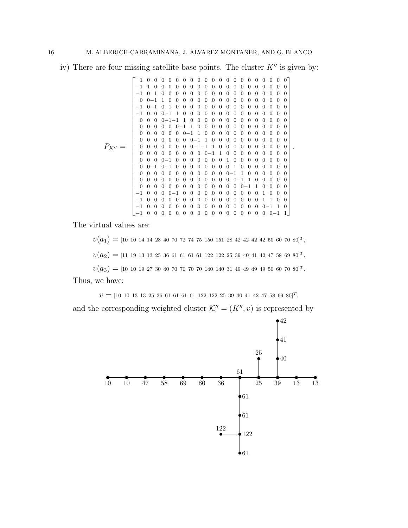iv) There are four missing satellite base points. The cluster  $K''$  is given by:

PK<sup>00</sup> = 1 0 0 0 0 0 0 0 0 0 0 0 0 0 0 0 0 0 0 0 0 −1 1 0 0 0 0 0 0 0 0 0 0 0 0 0 0 0 0 0 0 0 −1 0 1 0 0 0 0 0 0 0 0 0 0 0 0 0 0 0 0 0 0 0 0−1 1 0 0 0 0 0 0 0 0 0 0 0 0 0 0 0 0 0 −1 0−1 0 1 0 0 0 0 0 0 0 0 0 0 0 0 0 0 0 0 −1 0 0 0−1 1 0 0 0 0 0 0 0 0 0 0 0 0 0 0 0 0 0 0 0−1−1 1 0 0 0 0 0 0 0 0 0 0 0 0 0 0 0 0 0 0 0 0−1 1 0 0 0 0 0 0 0 0 0 0 0 0 0 0 0 0 0 0 0 0−1 1 0 0 0 0 0 0 0 0 0 0 0 0 0 0 0 0 0 0 0 0−1 1 0 0 0 0 0 0 0 0 0 0 0 0 0 0 0 0 0 0 0−1−1 1 0 0 0 0 0 0 0 0 0 0 0 0 0 0 0 0 0 0 0 0−1 1 0 0 0 0 0 0 0 0 0 0 0 0 0−1 0 0 0 0 0 0 0 1 0 0 0 0 0 0 0 0 0 0−1 0−1 0 0 0 0 0 0 0 0 1 0 0 0 0 0 0 0 0 0 0 0 0 0 0 0 0 0 0 0 0−1 1 0 0 0 0 0 0 0 0 0 0 0 0 0 0 0 0 0 0 0 0−1 1 0 0 0 0 0 0 0 0 0 0 0 0 0 0 0 0 0 0 0 0−1 1 0 0 0 0 −1 0 0 0 0−1 0 0 0 0 0 0 0 0 0 0 0 1 0 0 0 −1 0 0 0 0 0 0 0 0 0 0 0 0 0 0 0 0−1 1 0 0 −1 0 0 0 0 0 0 0 0 0 0 0 0 0 0 0 0 0−1 1 0 −1 0 0 0 0 0 0 0 0 0 0 0 0 0 0 0 0 0 0−1 1 .

The virtual values are:

 $v(a_1) = [10 \t10 \t14 \t14 \t28 \t40 \t70 \t72 \t74 \t75 \t150 \t151 \t28 \t42 \t42 \t42 \t42 \t50 \t60 \t70 \t80]^T,$  $v(a_2) = 11$  19 13 13 25 36 61 61 61 61 122 122 25 39 40 41 42 47 58 69 80]<sup>T</sup>,  $v(a_3) = [10 \t10 \t19 \t27 \t30 \t40 \t70 \t70 \t70 \t140 \t140 \t31 \t49 \t49 \t49 \t49 \t50 \t60 \t70 \t80]^T$ .

Thus, we have:

 $v = [10 \ 10 \ 13 \ 13 \ 25 \ 36 \ 61 \ 61 \ 61 \ 61 \ 122 \ 122 \ 25 \ 39 \ 40 \ 41 \ 42 \ 47 \ 58 \ 69 \ 80]^T$ ,

and the corresponding weighted cluster  $\mathcal{K}'' = (K'', v)$  is represented by

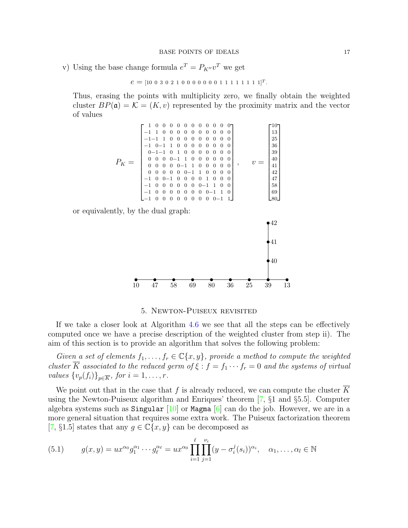<span id="page-16-2"></span>v) Using the base change formula  $e^T = P_{K''}v^T$  we get

$$
e = [10 \ 0 \ 3 \ 0 \ 2 \ 1 \ 0 \ 0 \ 0 \ 0 \ 0 \ 0 \ 0 \ 1 \ 1 \ 1 \ 1 \ 1 \ 1 \ 1 \ 1]^T.
$$

Thus, erasing the points with multiplicity zero, we finally obtain the weighted cluster  $BP(\mathfrak{a}) = \mathcal{K} = (K, v)$  represented by the proximity matrix and the vector of values

$$
P_K = \left[\begin{smallmatrix} 1 & 0 & 0 & 0 & 0 & 0 & 0 & 0 & 0 & 0 & 0 \\ -1 & 1 & 0 & 0 & 0 & 0 & 0 & 0 & 0 & 0 & 0 \\ -1 & -1 & 1 & 0 & 0 & 0 & 0 & 0 & 0 & 0 & 0 \\ -1 & 0 & -1 & 1 & 0 & 0 & 0 & 0 & 0 & 0 & 0 \\ 0 & -1 & -1 & 0 & 1 & 0 & 0 & 0 & 0 & 0 & 0 \\ 0 & 0 & 0 & 0 & -1 & 1 & 0 & 0 & 0 & 0 & 0 \\ 0 & 0 & 0 & 0 & -1 & 1 & 0 & 0 & 0 & 0 & 0 \\ 0 & 0 & 0 & 0 & 0 & -1 & 1 & 0 & 0 & 0 & 0 \\ -1 & 0 & 0 & -1 & 0 & 0 & 0 & 1 & 0 & 0 & 0 \\ -1 & 0 & 0 & 0 & 0 & 0 & 0 & -1 & 1 & 0 & 0 \\ -1 & 0 & 0 & 0 & 0 & 0 & 0 & 0 & -1 & 1 & 0 \\ -1 & 0 & 0 & 0 & 0 & 0 & 0 & 0 & -1 & 1 \end{smallmatrix}\right], \quad v = \left[\begin{smallmatrix} 10 \\ 13 \\ 25 \\ 36 \\ 39 \\ 41 \\ 41 \\ 41 \\ 42 \\ 58 \\ 58 \\ 69 \\ 69 \end{smallmatrix}\right],
$$

or equivalently, by the dual graph:



5. Newton-Puiseux revisited

<span id="page-16-0"></span>If we take a closer look at Algorithm [4.6](#page-11-0) we see that all the steps can be effectively computed once we have a precise description of the weighted cluster from step ii). The aim of this section is to provide an algorithm that solves the following problem:

Given a set of elements  $f_1, \ldots, f_r \in \mathbb{C}\lbrace x, y \rbrace$ , provide a method to compute the weighted cluster  $\overline{K}$  associated to the reduced germ of  $\xi : f = f_1 \cdots f_r = 0$  and the systems of virtual values  $\{v_p(f_i)\}_{p\in\overline{K}}$ , for  $i=1,\ldots,r$ .

We point out that in the case that f is already reduced, we can compute the cluster  $\overline{K}$ using the Newton-Puiseux algorithm and Enriques' theorem [\[7,](#page-20-0) §1 and §5.5]. Computer algebra systems such as Singular  $[10]$  or Magma  $[6]$  can do the job. However, we are in a more general situation that requires some extra work. The Puiseux factorization theorem [\[7,](#page-20-0) §1.5] states that any  $g \in \mathbb{C}\{x, y\}$  can be decomposed as

<span id="page-16-1"></span>(5.1) 
$$
g(x,y) = ux^{\alpha_0}g_1^{\alpha_1}\cdots g_\ell^{\alpha_\ell} = ux^{\alpha_0}\prod_{i=1}^\ell\prod_{j=1}^{\nu_i}(y-\sigma_i^j(s_i))^{\alpha_i}, \quad \alpha_1,\ldots,\alpha_l \in \mathbb{N}
$$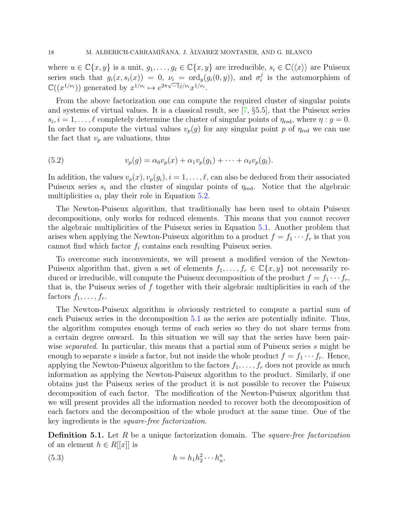<span id="page-17-2"></span>where  $u \in \mathbb{C}\{x, y\}$  is a unit,  $g_1, \ldots, g_\ell \in \mathbb{C}\{x, y\}$  are irreducible,  $s_i \in \mathbb{C}\langle\langle x \rangle\rangle$  are Puiseux series such that  $g_i(x, s_i(x)) = 0$ ,  $\nu_i = \text{ord}_y(g_i(0, y))$ , and  $\sigma_i^j$  $\nu_i = \text{ord}_y(g_i(0, y)),$  and  $\sigma_i^j$  is the automorphism of  $\mathbb{C}((x^{1/\nu_i}))$  generated by  $x^{1/\nu_i} \mapsto e^{2\pi\sqrt{-1}j/\nu_i}x^{1/\nu_i}.$ 

From the above factorization one can compute the required cluster of singular points and systems of virtual values. It is a classical result, see [\[7,](#page-20-0) §5.5], that the Puiseux series  $s_i, i = 1, \ldots, \ell$  completely determine the cluster of singular points of  $\eta_{\text{red}}$ , where  $\eta : g = 0$ . In order to compute the virtual values  $v_p(g)$  for any singular point p of  $\eta_{\text{red}}$  we can use the fact that  $v_p$  are valuations, thus

<span id="page-17-0"></span>(5.2) 
$$
v_p(g) = \alpha_0 v_p(x) + \alpha_1 v_p(g_1) + \cdots + \alpha_\ell v_p(g_\ell).
$$

In addition, the values  $v_p(x)$ ,  $v_p(g_i)$ ,  $i = 1, \ldots, \ell$ , can also be deduced from their associated Puiseux series  $s_i$  and the cluster of singular points of  $\eta_{\text{red}}$ . Notice that the algebraic multiplicities  $\alpha_i$  play their role in Equation [5.2.](#page-17-0)

The Newton-Puiseux algorithm, that traditionally has been used to obtain Puiseux decompositions, only works for reduced elements. This means that you cannot recover the algebraic multiplicities of the Puiseux series in Equation [5.1.](#page-16-1) Another problem that arises when applying the Newton-Puiseux algorithm to a product  $f = f_1 \cdots f_r$  is that you cannot find which factor  $f_i$  contains each resulting Puiseux series.

To overcome such inconvenients, we will present a modified version of the Newton-Puiseux algorithm that, given a set of elements  $f_1, \ldots, f_r \in \mathbb{C}\{x, y\}$  not necessarily reduced or irreducible, will compute the Puiseux decomposition of the product  $f = f_1 \cdots f_r$ , that is, the Puiseux series of  $f$  together with their algebraic multiplicities in each of the factors  $f_1, \ldots, f_r$ .

The Newton-Puiseux algorithm is obviously restricted to compute a partial sum of each Puiseux series in the decomposition [5.1](#page-16-1) as the series are potentially infinite. Thus, the algorithm computes enough terms of each series so they do not share terms from a certain degree onward. In this situation we will say that the series have been pairwise *separated*. In particular, this means that a partial sum of Puiseux series s might be enough to separate s inside a factor, but not inside the whole product  $f = f_1 \cdots f_r$ . Hence, applying the Newton-Puiseux algorithm to the factors  $f_1, \ldots, f_r$  does not provide as much information as applying the Newton-Puiseux algorithm to the product. Similarly, if one obtains just the Puiseux series of the product it is not possible to recover the Puiseux decomposition of each factor. The modification of the Newton-Puiseux algorithm that we will present provides all the information needed to recover both the decomposition of each factors and the decomposition of the whole product at the same time. One of the key ingredients is the square-free factorization.

**Definition 5.1.** Let R be a unique factorization domain. The *square-free factorization* of an element  $h \in R[[x]]$  is

<span id="page-17-1"></span>
$$
(5.3) \t\t\t h = h_1 h_2^2 \cdots h_n^n,
$$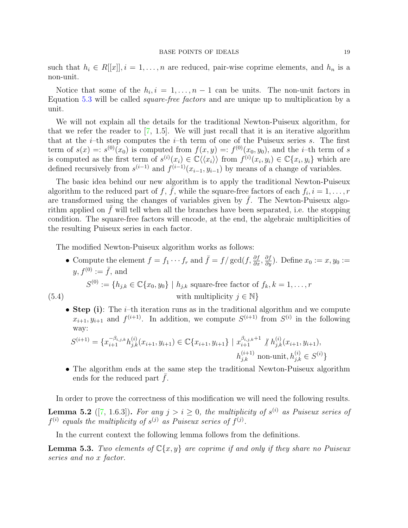<span id="page-18-2"></span>such that  $h_i \in R[[x]], i = 1, \ldots, n$  are reduced, pair-wise coprime elements, and  $h_n$  is a non-unit.

Notice that some of the  $h_i, i = 1, \ldots, n-1$  can be units. The non-unit factors in Equation [5.3](#page-17-1) will be called square-free factors and are unique up to multiplication by a unit.

We will not explain all the details for the traditional Newton-Puiseux algorithm, for that we refer the reader to [\[7,](#page-20-0) 1.5]. We will just recall that it is an iterative algorithm that at the  $i$ -th step computes the  $i$ -th term of one of the Puiseux series s. The first term of  $s(x) = s^{(0)}(x_0)$  is computed from  $f(x, y) = f^{(0)}(x_0, y_0)$ , and the *i*-th term of *s* is computed as the first term of  $s^{(i)}(x_i) \in \mathbb{C} \langle \langle x_i \rangle \rangle$  from  $f^{(i)}(x_i, y_i) \in \mathbb{C} \{x_i, y_i\}$  which are defined recursively from  $s^{(i-1)}$  and  $f^{(i-1)}(x_{i-1}, y_{i-1})$  by means of a change of variables.

The basic idea behind our new algorithm is to apply the traditional Newton-Puiseux algorithm to the reduced part of f,  $\overline{f}$ , while the square-free factors of each  $f_i, i = 1, \ldots, r$ are transformed using the changes of variables given by  $\bar{f}$ . The Newton-Puiseux algorithm applied on  $f$  will tell when all the branches have been separated, i.e. the stopping condition. The square-free factors will encode, at the end, the algebraic multiplicities of the resulting Puiseux series in each factor.

The modified Newton-Puiseux algorithm works as follows:

• Compute the element  $f = f_1 \cdots f_r$  and  $\bar{f} = f/\gcd(f, \frac{\partial f}{\partial x}, \frac{\partial f}{\partial y})$ . Define  $x_0 := x, y_0 :=$  $y, f^{(0)} := \overline{f}$ , and  $S^{(0)} := \{h_{j,k} \in \mathbb{C}\{x_0, y_0\} \mid h_{j,k} \text{ square-free factor of } f_k, k = 1, ..., r\}$ (5.4) with multiplicity  $j \in \mathbb{N}$ }

• Step (i): The *i*-th iteration runs as in the traditional algorithm and we compute  $x_{i+1}, y_{i+1}$  and  $f^{(i+1)}$ . In addition, we compute  $S^{(i+1)}$  from  $S^{(i)}$  in the following way:

$$
S^{(i+1)} = \{x_{i+1}^{-\beta_{i,j,k}} h_{j,k}^{(i)}(x_{i+1}, y_{i+1}) \in \mathbb{C} \{x_{i+1}, y_{i+1}\} \mid x_{i+1}^{\beta_{i,j,k}+1} \nmid h_{j,k}^{(i)}(x_{i+1}, y_{i+1}),
$$
  
\n
$$
h_{j,k}^{(i+1)} \text{ non-unit}, h_{j,k}^{(i)} \in S^{(i)}\}
$$

• The algorithm ends at the same step the traditional Newton-Puiseux algorithm ends for the reduced part  $f$ .

In order to prove the correctness of this modification we will need the following results.

<span id="page-18-1"></span>**Lemma 5.2** ([\[7,](#page-20-0) 1.6.3]). For any  $j > i \geq 0$ , the multiplicity of  $s^{(i)}$  as Puiseux series of  $f^{(i)}$  equals the multiplicity of  $s^{(j)}$  as Puiseux series of  $f^{(j)}$ .

In the current context the following lemma follows from the definitions.

<span id="page-18-0"></span>**Lemma 5.3.** Two elements of  $\mathbb{C}\{x, y\}$  are coprime if and only if they share no Puiseux series and no x factor.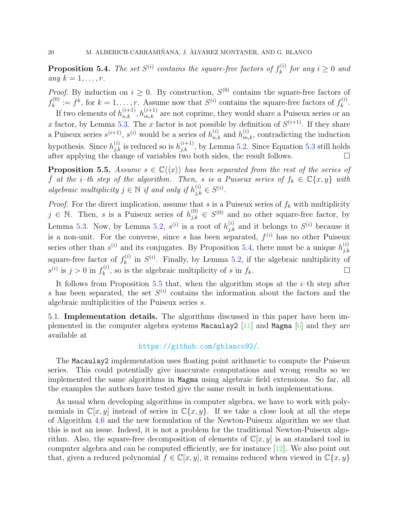<span id="page-19-2"></span><span id="page-19-0"></span>**Proposition 5.4.** The set  $S^{(i)}$  contains the square-free factors of  $f_k^{(i)}$  $k^{(i)}$  for any  $i \geq 0$  and any  $k = 1, \ldots, r$ .

*Proof.* By induction on  $i \geq 0$ . By construction,  $S^{(0)}$  contains the square-free factors of  $f_k^{(0)}$  $k_k^{(0)} := f^k$ , for  $k = 1, ..., r$ . Assume now that  $S^{(i)}$  contains the square-free factors of  $f_k^{(i)}$  $\frac{k^{(i)}}{k}$ .

If two elements of  $h_{n,k}^{(i+1)}, h_{m,k}^{(i+1)}$  are not coprime, they would share a Puiseux series or an x factor, by Lemma [5.3.](#page-18-0) The x factor is not possible by definition of  $S^{(i+1)}$ . If they share a Puiseux series  $s^{(i+1)}$ ,  $s^{(i)}$  would be a series of  $h_{n,k}^{(i)}$  and  $h_{m,k}^{(i)}$ , contradicting the induction hypothesis. Since  $h_{j,k}^{(i)}$  is reduced so is  $h_{j,k}^{(i+1)}$ , by Lemma [5.2.](#page-18-1) Since Equation [5.3](#page-17-1) still holds after applying the change of variables two both sides, the result follows.  $\square$ 

<span id="page-19-1"></span>**Proposition 5.5.** Assume  $s \in \mathbb{C}\langle\langle x \rangle\rangle$  has been separated from the rest of the series of  $\bar{f}$  at the i-th step of the algorithm. Then, s is a Puiseux series of  $f_k \in \mathbb{C}\{x, y\}$  with algebraic multiplicity  $j \in \mathbb{N}$  if and only if  $h_{j,k}^{(i)} \in S^{(i)}$ .

*Proof.* For the direct implication, assume that s is a Puiseux series of  $f_k$  with multiplicity  $j \in \mathbb{N}$ . Then, s is a Puiseux series of  $h_{j,k}^{(0)} \in S^{(0)}$  and no other square-free factor, by Lemma [5.3.](#page-18-0) Now, by Lemma [5.2,](#page-18-1)  $s^{(i)}$  is a root of  $h_{j,k}^{(i)}$  and it belongs to  $S^{(i)}$  because it is a non-unit. For the converse, since s has been separated,  $f^{(i)}$  has no other Puiseux series other than  $s^{(i)}$  and its conjugates. By Proposition [5.4,](#page-19-0) there must be a unique  $h_{ik}^{(i)}$ j,k square-free factor of  $f_k^{(i)}$  $s_k^{(i)}$  in  $S^{(i)}$ . Finally, by Lemma [5.2,](#page-18-1) if the algebraic multiplicity of  $s^{(i)}$  is  $j > 0$  in  $f_k^{(i)}$  $k_k^{(i)}$ , so is the algebraic multiplicity of s in  $f_k$ .

It follows from Proposition [5.5](#page-19-1) that, when the algorithm stops at the  $i$ -th step after s has been separated, the set  $S^{(i)}$  contains the information about the factors and the algebraic multiplicities of the Puiseux series s.

5.1. Implementation details. The algorithms discussed in this paper have been implemented in the computer algebra systems Macaulay2  $[11]$  and Magma  $[6]$  and they are available at

## <https://github.com/gblanco92/>.

The Macaulay2 implementation uses floating point arithmetic to compute the Puiseux series. This could potentially give inaccurate computations and wrong results so we implemented the same algorithms in Magma using algebraic field extensions. So far, all the examples the authors have tested give the same result in both implementations.

As usual when developing algorithms in computer algebra, we have to work with polynomials in  $\mathbb{C}[x, y]$  instead of series in  $\mathbb{C}\{x, y\}$ . If we take a close look at all the steps of Algorithm [4.6](#page-11-0) and the new formulation of the Newton-Puiseux algorithm we see that this is not an issue. Indeed, it is not a problem for the traditional Newton-Puiseux algorithm. Also, the square-free decomposition of elements of  $\mathbb{C}[x, y]$  is an standard tool in computer algebra and can be computed efficiently, see for instance [\[12\]](#page-20-8). We also point out that, given a reduced polynomial  $f \in \mathbb{C}[x, y]$ , it remains reduced when viewed in  $\mathbb{C}\{x, y\}$